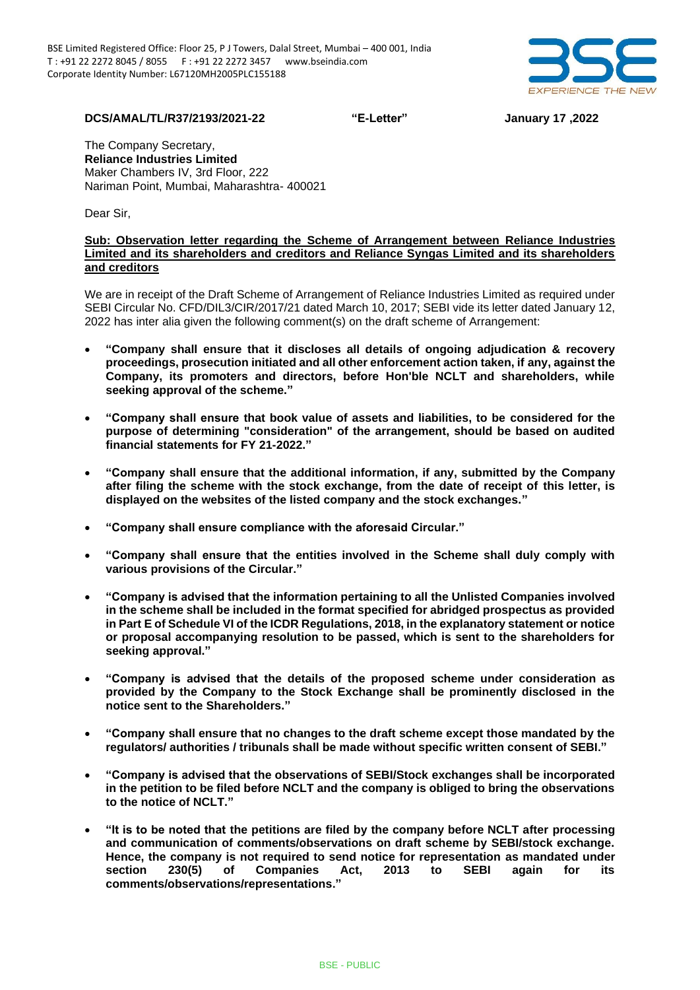

**DCS/AMAL/TL/R37/2193/2021-22 "E-Letter" January 17 ,2022**

The Company Secretary, **Reliance Industries Limited** Maker Chambers IV, 3rd Floor, 222 Nariman Point, Mumbai, Maharashtra- 400021

Dear Sir,

## **Sub: Observation letter regarding the Scheme of Arrangement between Reliance Industries Limited and its shareholders and creditors and Reliance Syngas Limited and its shareholders and creditors**

We are in receipt of the Draft Scheme of Arrangement of Reliance Industries Limited as required under SEBI Circular No. CFD/DIL3/CIR/2017/21 dated March 10, 2017; SEBI vide its letter dated January 12, 2022 has inter alia given the following comment(s) on the draft scheme of Arrangement:

- **"Company shall ensure that it discloses all details of ongoing adjudication & recovery proceedings, prosecution initiated and all other enforcement action taken, if any, against the Company, its promoters and directors, before Hon'ble NCLT and shareholders, while seeking approval of the scheme."**
- **"Company shall ensure that book value of assets and liabilities, to be considered for the purpose of determining "consideration" of the arrangement, should be based on audited financial statements for FY 21-2022."**
- **"Company shall ensure that the additional information, if any, submitted by the Company after filing the scheme with the stock exchange, from the date of receipt of this letter, is displayed on the websites of the listed company and the stock exchanges."**
- **"Company shall ensure compliance with the aforesaid Circular."**
- **"Company shall ensure that the entities involved in the Scheme shall duly comply with various provisions of the Circular."**
- **"Company is advised that the information pertaining to all the Unlisted Companies involved in the scheme shall be included in the format specified for abridged prospectus as provided in Part E of Schedule VI of the ICDR Regulations, 2018, in the explanatory statement or notice or proposal accompanying resolution to be passed, which is sent to the shareholders for seeking approval."**
- **"Company is advised that the details of the proposed scheme under consideration as provided by the Company to the Stock Exchange shall be prominently disclosed in the notice sent to the Shareholders."**
- **"Company shall ensure that no changes to the draft scheme except those mandated by the regulators/ authorities / tribunals shall be made without specific written consent of SEBI."**
- **"Company is advised that the observations of SEBI/Stock exchanges shall be incorporated in the petition to be filed before NCLT and the company is obliged to bring the observations to the notice of NCLT."**
- **"It is to be noted that the petitions are filed by the company before NCLT after processing and communication of comments/observations on draft scheme by SEBI/stock exchange. Hence, the company is not required to send notice for representation as mandated under section 230(5) of Companies Act, 2013 to SEBI again for its comments/observations/representations."**